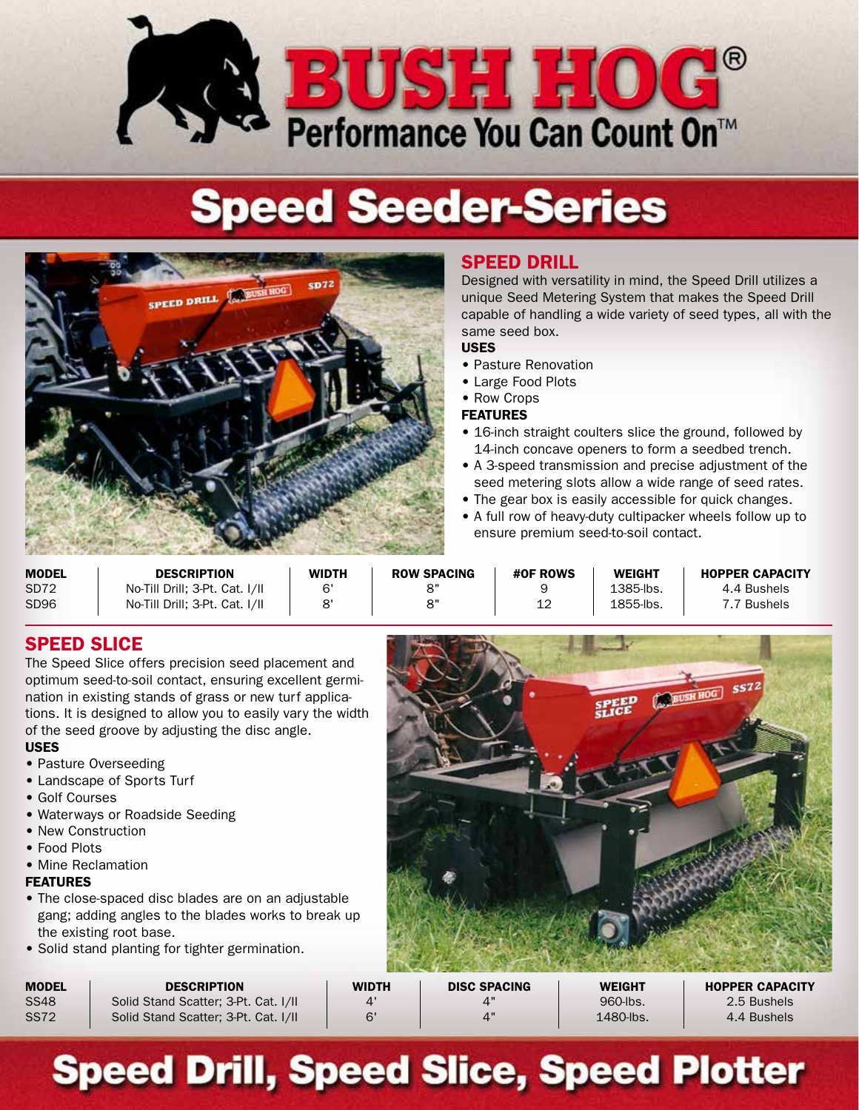

# **Speed Seeder-Series**



## SPEED DRILL

Designed with versatility in mind, the Speed Drill utilizes a unique Seed Metering System that makes the Speed Drill capable of handling a wide variety of seed types, all with the same seed box.

#### USES

- Pasture Renovation
- Large Food Plots
- Row Crops

#### FEATURES

- 16-inch straight coulters slice the ground, followed by 14-inch concave openers to form a seedbed trench.
- A 3-speed transmission and precise adjustment of the seed metering slots allow a wide range of seed rates.
- The gear box is easily accessible for quick changes.
- A full row of heavy-duty cultipacker wheels follow up to ensure premium seed-to-soil contact.

| <b>MODEL</b>     | <b>DESCRIPTION</b>             | <b>WIDTH</b> | <b>ROW SPACING</b> | #OF ROWS | <b>WEIGHT</b> | <b>HOPPER CAPACITY</b> |
|------------------|--------------------------------|--------------|--------------------|----------|---------------|------------------------|
| SD <sub>72</sub> | No-Till Drill: 3-Pt. Cat. I/II | G'           | o"                 |          | 1385-lbs      | 4.4 Bushels            |
| SD <sub>96</sub> | No-Till Drill: 3-Pt. Cat. I/II | $\mathbf{O}$ | 8"                 | 10<br>ᅩᄼ | 1855-lbs.     | <sup>→</sup> 7 Bushels |

## SPEED SLICE

The Speed Slice offers precision seed placement and optimum seed-to-soil contact, ensuring excellent germination in existing stands of grass or new turf applications. It is designed to allow you to easily vary the width of the seed groove by adjusting the disc angle.

#### USES

- Pasture Overseeding
- Landscape of Sports Turf
- Golf Courses
- Waterways or Roadside Seeding
- New Construction
- Food Plots
- Mine Reclamation

### FEATURES

- The close-spaced disc blades are on an adjustable gang; adding angles to the blades works to break up the existing root base.
- Solid stand planting for tighter germination.

| 5572                      |
|---------------------------|
| <b>DEUSH HOG</b><br>SPEED |
|                           |
|                           |
|                           |

| MODEL | <b>DESCRIPTION</b>                   | <b>WIDTH</b> | <b>DISC SPACING</b>                      | <b>WEIGHT</b> | <b>HOPPER CAPACITY</b> |
|-------|--------------------------------------|--------------|------------------------------------------|---------------|------------------------|
| SS48  | Solid Stand Scatter; 3-Pt. Cat. I/II | Δ'           |                                          | 960-lbs.      | 2.5 Bushels            |
| SS72  | Solid Stand Scatter; 3-Pt. Cat. I/II |              | $\mathbf{\Lambda}^{\mathbf{\mathbf{u}}}$ | 1480-lbs.     | 4.4 Bushels            |

## **Speed Drill, Speed Slice, Speed Plotter**